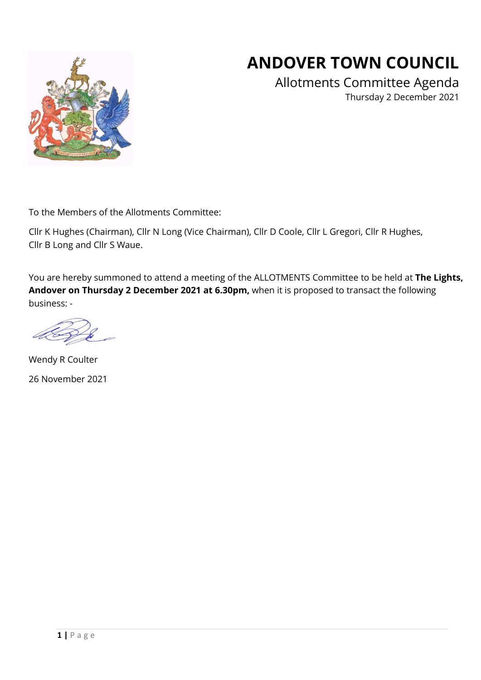

Allotments Committee Agenda Thursday 2 December 2021



To the Members of the Allotments Committee:

Cllr K Hughes (Chairman), Cllr N Long (Vice Chairman), Cllr D Coole, Cllr L Gregori, Cllr R Hughes, Cllr B Long and Cllr S Waue.

You are hereby summoned to attend a meeting of the ALLOTMENTS Committee to be held at **The Lights, Andover on Thursday 2 December 2021 at 6.30pm,** when it is proposed to transact the following business: -

Wendy R Coulter 26 November 2021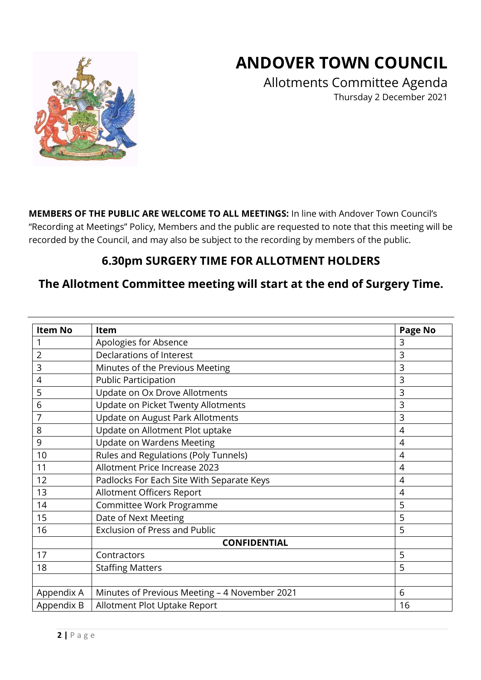## **ANDOVER TOWN COUNCIL**

Allotments Committee Agenda Thursday 2 December 2021

**MEMBERS OF THE PUBLIC ARE WELCOME TO ALL MEETINGS:** In line with Andover Town Council's "Recording at Meetings" Policy, Members and the public are requested to note that this meeting will be recorded by the Council, and may also be subject to the recording by members of the public.

#### **6.30pm SURGERY TIME FOR ALLOTMENT HOLDERS**

#### **The Allotment Committee meeting will start at the end of Surgery Time.**

| <b>Item No</b> | Item                                          | <b>Page No</b> |  |  |  |  |  |
|----------------|-----------------------------------------------|----------------|--|--|--|--|--|
|                | Apologies for Absence                         | 3              |  |  |  |  |  |
| $\overline{2}$ | Declarations of Interest                      | 3              |  |  |  |  |  |
| 3              | Minutes of the Previous Meeting               | 3              |  |  |  |  |  |
| 4              | <b>Public Participation</b>                   | 3              |  |  |  |  |  |
| 5              | Update on Ox Drove Allotments                 | 3              |  |  |  |  |  |
| 6              | Update on Picket Twenty Allotments            | 3              |  |  |  |  |  |
| 7              | Update on August Park Allotments              | 3              |  |  |  |  |  |
| 8              | Update on Allotment Plot uptake               | $\overline{4}$ |  |  |  |  |  |
| 9              | <b>Update on Wardens Meeting</b>              | 4              |  |  |  |  |  |
| 10             | Rules and Regulations (Poly Tunnels)          | $\overline{4}$ |  |  |  |  |  |
| 11             | Allotment Price Increase 2023                 | $\overline{4}$ |  |  |  |  |  |
| 12             | Padlocks For Each Site With Separate Keys     | $\overline{4}$ |  |  |  |  |  |
| 13             | Allotment Officers Report                     | 4              |  |  |  |  |  |
| 14             | Committee Work Programme                      | 5              |  |  |  |  |  |
| 15             | Date of Next Meeting                          | 5              |  |  |  |  |  |
| 16             | <b>Exclusion of Press and Public</b>          | 5              |  |  |  |  |  |
|                | <b>CONFIDENTIAL</b>                           |                |  |  |  |  |  |
| 17             | Contractors                                   | 5              |  |  |  |  |  |
| 18             | <b>Staffing Matters</b>                       | 5              |  |  |  |  |  |
|                |                                               |                |  |  |  |  |  |
| Appendix A     | Minutes of Previous Meeting - 4 November 2021 | 6              |  |  |  |  |  |
| Appendix B     | Allotment Plot Uptake Report                  | 16             |  |  |  |  |  |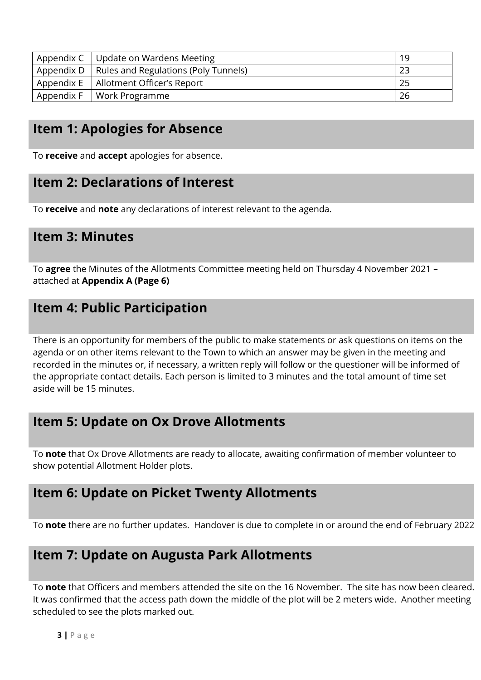| Appendix C   Update on Wardens Meeting            | 19 |
|---------------------------------------------------|----|
| Appendix D   Rules and Regulations (Poly Tunnels) |    |
| Appendix E   Allotment Officer's Report           |    |
| Appendix $F$   Work Programme                     | 26 |

### **Item 1: Apologies for Absence**

To **receive** and **accept** apologies for absence.

#### **Item 2: Declarations of Interest**

To **receive** and **note** any declarations of interest relevant to the agenda.

#### **Item 3: Minutes**

To **agree** the Minutes of the Allotments Committee meeting held on Thursday 4 November 2021 – attached at **Appendix A (Page 6)**

#### **Item 4: Public Participation**

There is an opportunity for members of the public to make statements or ask questions on items on the agenda or on other items relevant to the Town to which an answer may be given in the meeting and recorded in the minutes or, if necessary, a written reply will follow or the questioner will be informed of the appropriate contact details. Each person is limited to 3 minutes and the total amount of time set aside will be 15 minutes.

#### **Item 5: Update on Ox Drove Allotments**

To **note** that Ox Drove Allotments are ready to allocate, awaiting confirmation of member volunteer to show potential Allotment Holder plots.

#### **Item 6: Update on Picket Twenty Allotments**

To **note** there are no further updates. Handover is due to complete in or around the end of February 2022.

## **Item 7: Update on Augusta Park Allotments**

To **note** that Officers and members attended the site on the 16 November. The site has now been cleared. It was confirmed that the access path down the middle of the plot will be 2 meters wide. Another meeting is scheduled to see the plots marked out.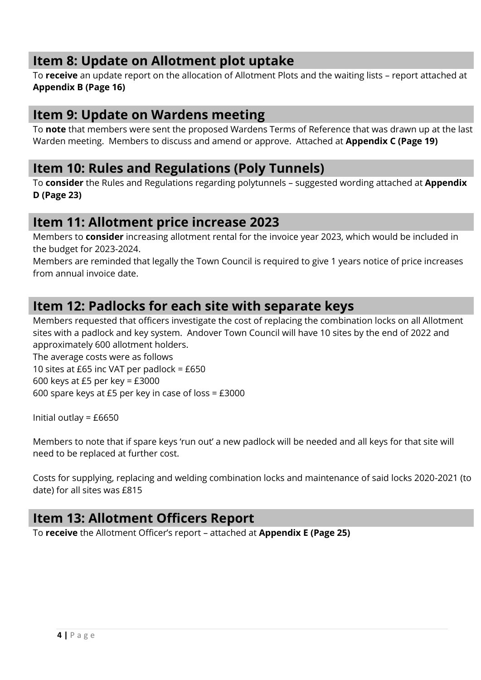### **Item 8: Update on Allotment plot uptake**

To **receive** an update report on the allocation of Allotment Plots and the waiting lists – report attached at **Appendix B (Page 16)**

#### **Item 9: Update on Wardens meeting**

To **note** that members were sent the proposed Wardens Terms of Reference that was drawn up at the last Warden meeting. Members to discuss and amend or approve. Attached at **Appendix C (Page 19)**

#### **Item 10: Rules and Regulations (Poly Tunnels)**

To **consider** the Rules and Regulations regarding polytunnels – suggested wording attached at **Appendix D (Page 23)**

#### **Item 11: Allotment price increase 2023**

Members to **consider** increasing allotment rental for the invoice year 2023, which would be included in the budget for 2023-2024.

Members are reminded that legally the Town Council is required to give 1 years notice of price increases from annual invoice date.

#### **Item 12: Padlocks for each site with separate keys**

Members requested that officers investigate the cost of replacing the combination locks on all Allotment sites with a padlock and key system. Andover Town Council will have 10 sites by the end of 2022 and approximately 600 allotment holders.

The average costs were as follows 10 sites at £65 inc VAT per padlock = £650 600 keys at £5 per key = £3000 600 spare keys at £5 per key in case of loss = £3000

Initial outlay = £6650

Members to note that if spare keys 'run out' a new padlock will be needed and all keys for that site will need to be replaced at further cost.

Costs for supplying, replacing and welding combination locks and maintenance of said locks 2020-2021 (to date) for all sites was £815

#### **Item 13: Allotment Officers Report**

To **receive** the Allotment Officer's report – attached at **Appendix E (Page 25)**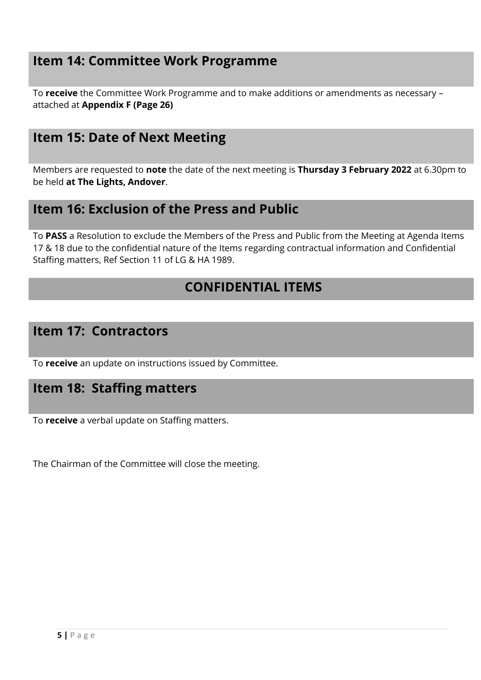### **Item 14: Committee Work Programme**

To **receive** the Committee Work Programme and to make additions or amendments as necessary – attached at **Appendix F (Page 26)**

#### **Item 15: Date of Next Meeting**

Members are requested to **note** the date of the next meeting is **Thursday 3 February 2022** at 6.30pm to be held **at The Lights, Andover**.

#### **Item 16: Exclusion of the Press and Public**

To **PASS** a Resolution to exclude the Members of the Press and Public from the Meeting at Agenda Items 17 & 18 due to the confidential nature of the Items regarding contractual information and Confidential Staffing matters, Ref Section 11 of LG & HA 1989.

#### **CONFIDENTIAL ITEMS**

#### **Item 17: Contractors**

To **receive** an update on instructions issued by Committee.

#### **Item 18: Staffing matters**

To **receive** a verbal update on Staffing matters.

The Chairman of the Committee will close the meeting.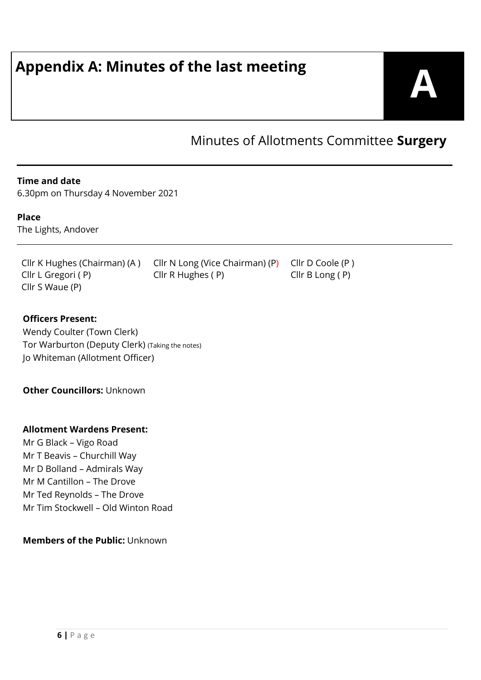# **Appendix A: Minutes of the last meeting**



Minutes of Allotments Committee **Surgery**

#### **Time and date**

6.30pm on Thursday 4 November 2021

#### **Place**

The Lights, Andover

Cllr K Hughes (Chairman) (A ) Cllr N Long (Vice Chairman) (P) Cllr D Coole (P) Cllr L Gregori (P) Cllr R Hughes (P) Cllr B Long (P) Cllr S Waue (P)

#### **Officers Present:**

Wendy Coulter (Town Clerk) Tor Warburton (Deputy Clerk) (Taking the notes) Jo Whiteman (Allotment Officer)

**Other Councillors:** Unknown

#### **Allotment Wardens Present:**

Mr G Black – Vigo Road Mr T Beavis – Churchill Way Mr D Bolland – Admirals Way Mr M Cantillon – The Drove Mr Ted Reynolds – The Drove Mr Tim Stockwell – Old Winton Road

#### **Members of the Public:** Unknown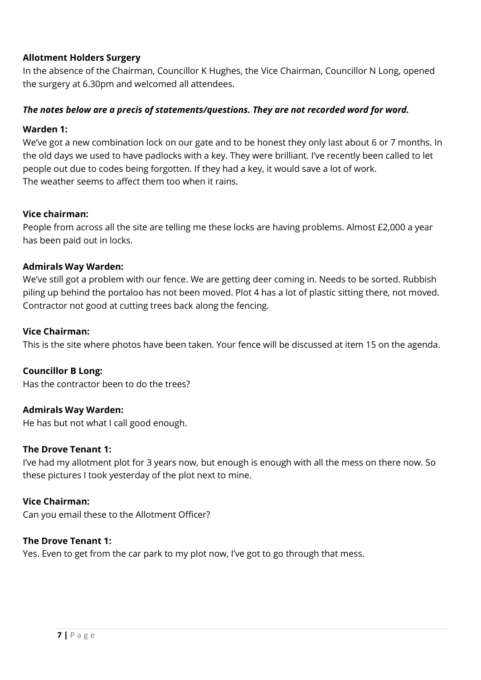#### **Allotment Holders Surgery**

In the absence of the Chairman, Councillor K Hughes, the Vice Chairman, Councillor N Long, opened the surgery at 6.30pm and welcomed all attendees.

#### *The notes below are a precis of statements/questions. They are not recorded word for word.*

#### **Warden 1:**

We've got a new combination lock on our gate and to be honest they only last about 6 or 7 months. In the old days we used to have padlocks with a key. They were brilliant. I've recently been called to let people out due to codes being forgotten. If they had a key, it would save a lot of work. The weather seems to affect them too when it rains.

#### **Vice chairman:**

People from across all the site are telling me these locks are having problems. Almost £2,000 a year has been paid out in locks.

#### **Admirals Way Warden:**

We've still got a problem with our fence. We are getting deer coming in. Needs to be sorted. Rubbish piling up behind the portaloo has not been moved. Plot 4 has a lot of plastic sitting there, not moved. Contractor not good at cutting trees back along the fencing.

#### **Vice Chairman:**

This is the site where photos have been taken. Your fence will be discussed at item 15 on the agenda.

#### **Councillor B Long:**

Has the contractor been to do the trees?

#### **Admirals Way Warden:**

He has but not what I call good enough.

#### **The Drove Tenant 1:**

I've had my allotment plot for 3 years now, but enough is enough with all the mess on there now. So these pictures I took yesterday of the plot next to mine.

#### **Vice Chairman:**

Can you email these to the Allotment Officer?

#### **The Drove Tenant 1:**

Yes. Even to get from the car park to my plot now, I've got to go through that mess.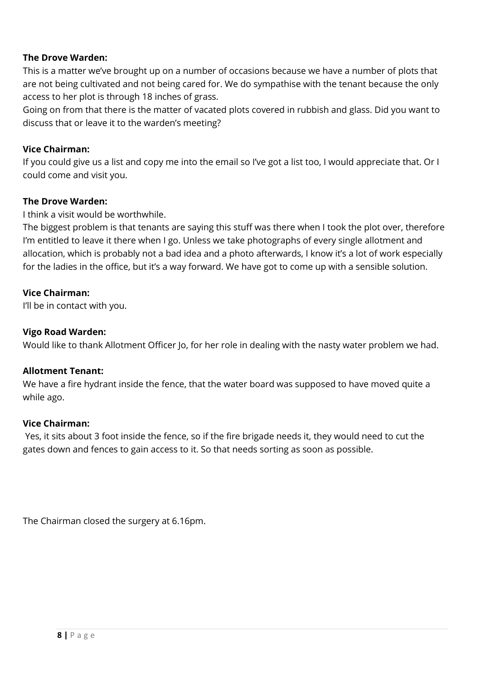#### **The Drove Warden:**

This is a matter we've brought up on a number of occasions because we have a number of plots that are not being cultivated and not being cared for. We do sympathise with the tenant because the only access to her plot is through 18 inches of grass.

Going on from that there is the matter of vacated plots covered in rubbish and glass. Did you want to discuss that or leave it to the warden's meeting?

#### **Vice Chairman:**

If you could give us a list and copy me into the email so I've got a list too, I would appreciate that. Or I could come and visit you.

#### **The Drove Warden:**

I think a visit would be worthwhile.

The biggest problem is that tenants are saying this stuff was there when I took the plot over, therefore I'm entitled to leave it there when I go. Unless we take photographs of every single allotment and allocation, which is probably not a bad idea and a photo afterwards, I know it's a lot of work especially for the ladies in the office, but it's a way forward. We have got to come up with a sensible solution.

#### **Vice Chairman:**

I'll be in contact with you.

#### **Vigo Road Warden:**

Would like to thank Allotment Officer Jo, for her role in dealing with the nasty water problem we had.

#### **Allotment Tenant:**

We have a fire hydrant inside the fence, that the water board was supposed to have moved quite a while ago.

#### **Vice Chairman:**

 Yes, it sits about 3 foot inside the fence, so if the fire brigade needs it, they would need to cut the gates down and fences to gain access to it. So that needs sorting as soon as possible.

The Chairman closed the surgery at 6.16pm.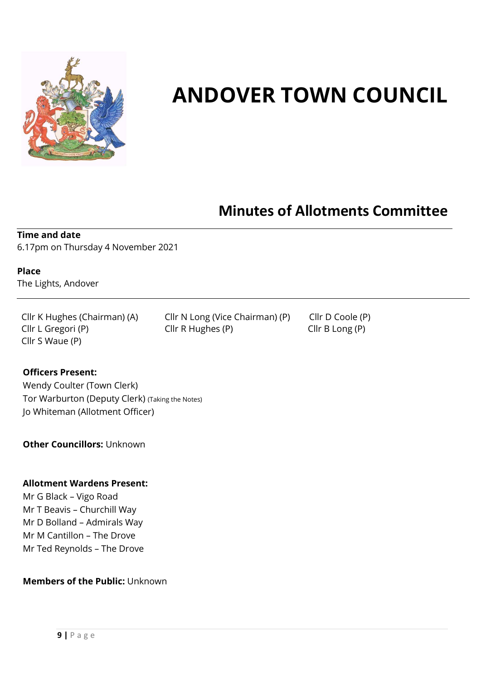

## **ANDOVER TOWN COUNCIL**

## **Minutes of Allotments Committee**

**Time and date**  6.17pm on Thursday 4 November 2021

**Place**  The Lights, Andover

Cllr S Waue (P)

Cllr K Hughes (Chairman) (A) Cllr N Long (Vice Chairman) (P) Cllr D Coole (P) Cllr L Gregori (P) Cllr R Hughes (P) Cllr B Long (P)

#### **Officers Present:**

Wendy Coulter (Town Clerk) Tor Warburton (Deputy Clerk) (Taking the Notes) Jo Whiteman (Allotment Officer)

**Other Councillors:** Unknown

#### **Allotment Wardens Present:**

Mr G Black – Vigo Road Mr T Beavis – Churchill Way Mr D Bolland – Admirals Way Mr M Cantillon – The Drove Mr Ted Reynolds – The Drove

#### **Members of the Public:** Unknown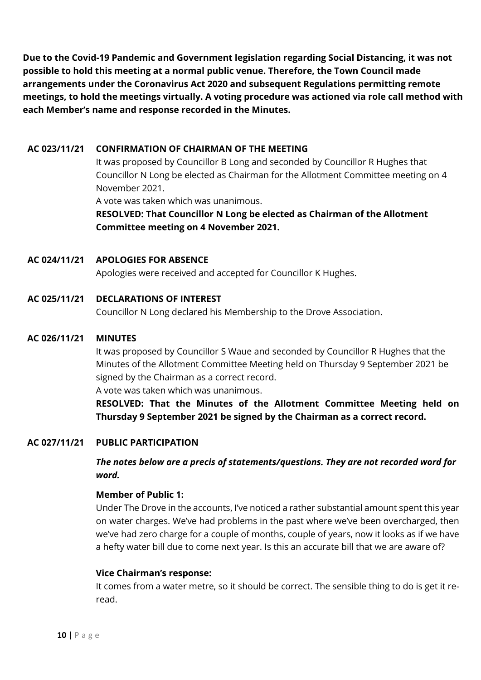**Due to the Covid-19 Pandemic and Government legislation regarding Social Distancing, it was not possible to hold this meeting at a normal public venue. Therefore, the Town Council made arrangements under the Coronavirus Act 2020 and subsequent Regulations permitting remote meetings, to hold the meetings virtually. A voting procedure was actioned via role call method with each Member's name and response recorded in the Minutes.** 

#### **AC 023/11/21 CONFIRMATION OF CHAIRMAN OF THE MEETING**

It was proposed by Councillor B Long and seconded by Councillor R Hughes that Councillor N Long be elected as Chairman for the Allotment Committee meeting on 4 November 2021.

A vote was taken which was unanimous.

#### **RESOLVED: That Councillor N Long be elected as Chairman of the Allotment Committee meeting on 4 November 2021.**

#### **AC 024/11/21 APOLOGIES FOR ABSENCE**

Apologies were received and accepted for Councillor K Hughes.

#### **AC 025/11/21 DECLARATIONS OF INTEREST**

Councillor N Long declared his Membership to the Drove Association.

#### **AC 026/11/21 MINUTES**

It was proposed by Councillor S Waue and seconded by Councillor R Hughes that the Minutes of the Allotment Committee Meeting held on Thursday 9 September 2021 be signed by the Chairman as a correct record.

A vote was taken which was unanimous.

**RESOLVED: That the Minutes of the Allotment Committee Meeting held on Thursday 9 September 2021 be signed by the Chairman as a correct record.**

#### **AC 027/11/21 PUBLIC PARTICIPATION**

*The notes below are a precis of statements/questions. They are not recorded word for word.*

#### **Member of Public 1:**

Under The Drove in the accounts, I've noticed a rather substantial amount spent this year on water charges. We've had problems in the past where we've been overcharged, then we've had zero charge for a couple of months, couple of years, now it looks as if we have a hefty water bill due to come next year. Is this an accurate bill that we are aware of?

#### **Vice Chairman's response:**

It comes from a water metre, so it should be correct. The sensible thing to do is get it reread.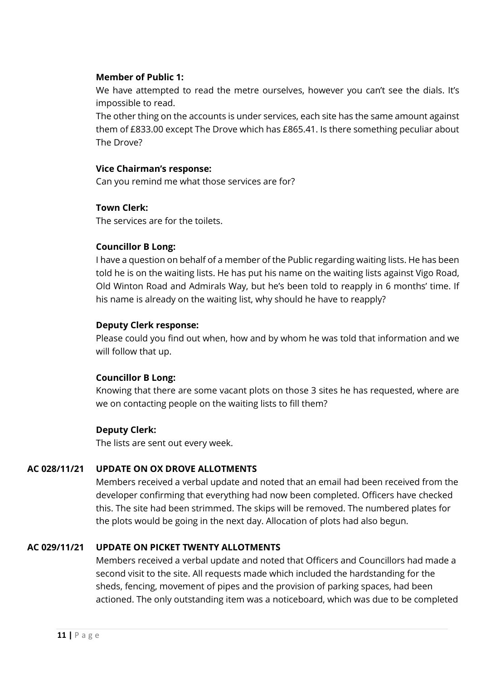#### **Member of Public 1:**

We have attempted to read the metre ourselves, however you can't see the dials. It's impossible to read.

The other thing on the accounts is under services, each site has the same amount against them of £833.00 except The Drove which has £865.41. Is there something peculiar about The Drove?

#### **Vice Chairman's response:**

Can you remind me what those services are for?

#### **Town Clerk:**

The services are for the toilets.

#### **Councillor B Long:**

I have a question on behalf of a member of the Public regarding waiting lists. He has been told he is on the waiting lists. He has put his name on the waiting lists against Vigo Road, Old Winton Road and Admirals Way, but he's been told to reapply in 6 months' time. If his name is already on the waiting list, why should he have to reapply?

#### **Deputy Clerk response:**

Please could you find out when, how and by whom he was told that information and we will follow that up.

#### **Councillor B Long:**

Knowing that there are some vacant plots on those 3 sites he has requested, where are we on contacting people on the waiting lists to fill them?

#### **Deputy Clerk:**

The lists are sent out every week.

#### **AC 028/11/21 UPDATE ON OX DROVE ALLOTMENTS**

Members received a verbal update and noted that an email had been received from the developer confirming that everything had now been completed. Officers have checked this. The site had been strimmed. The skips will be removed. The numbered plates for the plots would be going in the next day. Allocation of plots had also begun.

#### **AC 029/11/21 UPDATE ON PICKET TWENTY ALLOTMENTS**

Members received a verbal update and noted that Officers and Councillors had made a second visit to the site. All requests made which included the hardstanding for the sheds, fencing, movement of pipes and the provision of parking spaces, had been actioned. The only outstanding item was a noticeboard, which was due to be completed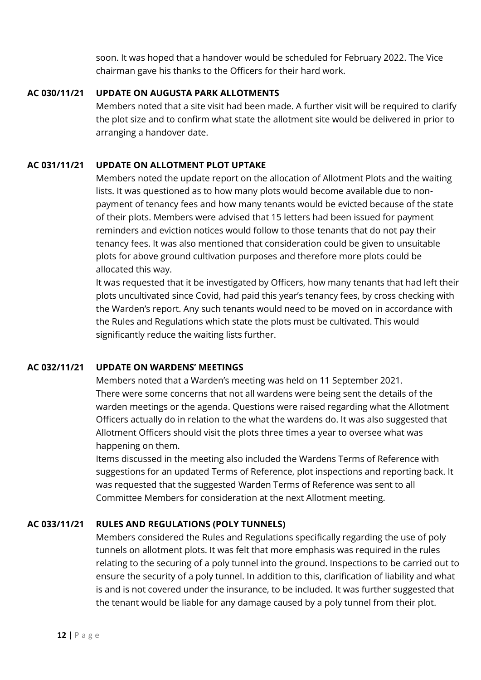soon. It was hoped that a handover would be scheduled for February 2022. The Vice chairman gave his thanks to the Officers for their hard work.

#### **AC 030/11/21 UPDATE ON AUGUSTA PARK ALLOTMENTS**

Members noted that a site visit had been made. A further visit will be required to clarify the plot size and to confirm what state the allotment site would be delivered in prior to arranging a handover date.

#### **AC 031/11/21 UPDATE ON ALLOTMENT PLOT UPTAKE**

Members noted the update report on the allocation of Allotment Plots and the waiting lists. It was questioned as to how many plots would become available due to nonpayment of tenancy fees and how many tenants would be evicted because of the state of their plots. Members were advised that 15 letters had been issued for payment reminders and eviction notices would follow to those tenants that do not pay their tenancy fees. It was also mentioned that consideration could be given to unsuitable plots for above ground cultivation purposes and therefore more plots could be allocated this way.

It was requested that it be investigated by Officers, how many tenants that had left their plots uncultivated since Covid, had paid this year's tenancy fees, by cross checking with the Warden's report. Any such tenants would need to be moved on in accordance with the Rules and Regulations which state the plots must be cultivated. This would significantly reduce the waiting lists further.

#### **AC 032/11/21 UPDATE ON WARDENS' MEETINGS**

Members noted that a Warden's meeting was held on 11 September 2021. There were some concerns that not all wardens were being sent the details of the warden meetings or the agenda. Questions were raised regarding what the Allotment Officers actually do in relation to the what the wardens do. It was also suggested that Allotment Officers should visit the plots three times a year to oversee what was happening on them.

Items discussed in the meeting also included the Wardens Terms of Reference with suggestions for an updated Terms of Reference, plot inspections and reporting back. It was requested that the suggested Warden Terms of Reference was sent to all Committee Members for consideration at the next Allotment meeting.

#### **AC 033/11/21 RULES AND REGULATIONS (POLY TUNNELS)**

Members considered the Rules and Regulations specifically regarding the use of poly tunnels on allotment plots. It was felt that more emphasis was required in the rules relating to the securing of a poly tunnel into the ground. Inspections to be carried out to ensure the security of a poly tunnel. In addition to this, clarification of liability and what is and is not covered under the insurance, to be included. It was further suggested that the tenant would be liable for any damage caused by a poly tunnel from their plot.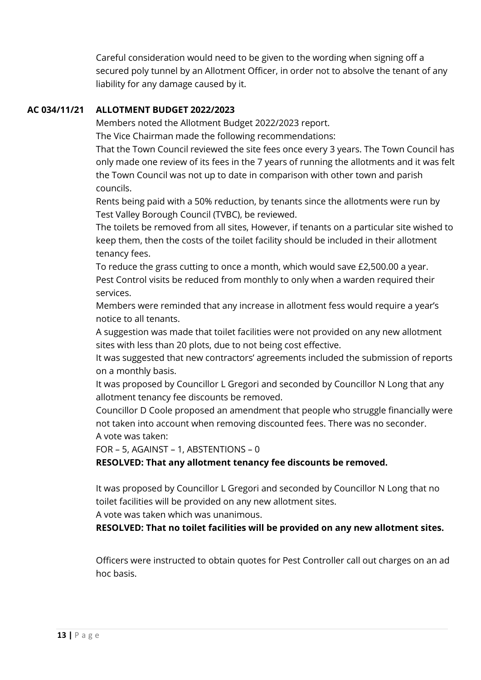Careful consideration would need to be given to the wording when signing off a secured poly tunnel by an Allotment Officer, in order not to absolve the tenant of any liability for any damage caused by it.

#### **AC 034/11/21 ALLOTMENT BUDGET 2022/2023**

Members noted the Allotment Budget 2022/2023 report.

The Vice Chairman made the following recommendations:

That the Town Council reviewed the site fees once every 3 years. The Town Council has only made one review of its fees in the 7 years of running the allotments and it was felt the Town Council was not up to date in comparison with other town and parish councils.

Rents being paid with a 50% reduction, by tenants since the allotments were run by Test Valley Borough Council (TVBC), be reviewed.

The toilets be removed from all sites, However, if tenants on a particular site wished to keep them, then the costs of the toilet facility should be included in their allotment tenancy fees.

To reduce the grass cutting to once a month, which would save £2,500.00 a year. Pest Control visits be reduced from monthly to only when a warden required their services.

Members were reminded that any increase in allotment fess would require a year's notice to all tenants.

A suggestion was made that toilet facilities were not provided on any new allotment sites with less than 20 plots, due to not being cost effective.

It was suggested that new contractors' agreements included the submission of reports on a monthly basis.

It was proposed by Councillor L Gregori and seconded by Councillor N Long that any allotment tenancy fee discounts be removed.

Councillor D Coole proposed an amendment that people who struggle financially were not taken into account when removing discounted fees. There was no seconder. A vote was taken:

FOR – 5, AGAINST – 1, ABSTENTIONS – 0

**RESOLVED: That any allotment tenancy fee discounts be removed.**

It was proposed by Councillor L Gregori and seconded by Councillor N Long that no toilet facilities will be provided on any new allotment sites.

A vote was taken which was unanimous.

**RESOLVED: That no toilet facilities will be provided on any new allotment sites.**

Officers were instructed to obtain quotes for Pest Controller call out charges on an ad hoc basis.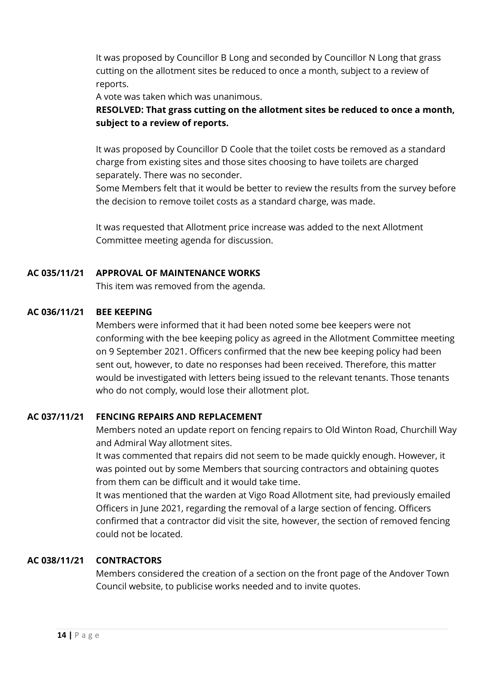It was proposed by Councillor B Long and seconded by Councillor N Long that grass cutting on the allotment sites be reduced to once a month, subject to a review of reports.

A vote was taken which was unanimous.

#### **RESOLVED: That grass cutting on the allotment sites be reduced to once a month, subject to a review of reports.**

It was proposed by Councillor D Coole that the toilet costs be removed as a standard charge from existing sites and those sites choosing to have toilets are charged separately. There was no seconder.

Some Members felt that it would be better to review the results from the survey before the decision to remove toilet costs as a standard charge, was made.

It was requested that Allotment price increase was added to the next Allotment Committee meeting agenda for discussion.

#### **AC 035/11/21 APPROVAL OF MAINTENANCE WORKS**

This item was removed from the agenda.

#### **AC 036/11/21 BEE KEEPING**

Members were informed that it had been noted some bee keepers were not conforming with the bee keeping policy as agreed in the Allotment Committee meeting on 9 September 2021. Officers confirmed that the new bee keeping policy had been sent out, however, to date no responses had been received. Therefore, this matter would be investigated with letters being issued to the relevant tenants. Those tenants who do not comply, would lose their allotment plot.

#### **AC 037/11/21 FENCING REPAIRS AND REPLACEMENT**

Members noted an update report on fencing repairs to Old Winton Road, Churchill Way and Admiral Way allotment sites.

It was commented that repairs did not seem to be made quickly enough. However, it was pointed out by some Members that sourcing contractors and obtaining quotes from them can be difficult and it would take time.

It was mentioned that the warden at Vigo Road Allotment site, had previously emailed Officers in June 2021, regarding the removal of a large section of fencing. Officers confirmed that a contractor did visit the site, however, the section of removed fencing could not be located.

#### **AC 038/11/21 CONTRACTORS**

Members considered the creation of a section on the front page of the Andover Town Council website, to publicise works needed and to invite quotes.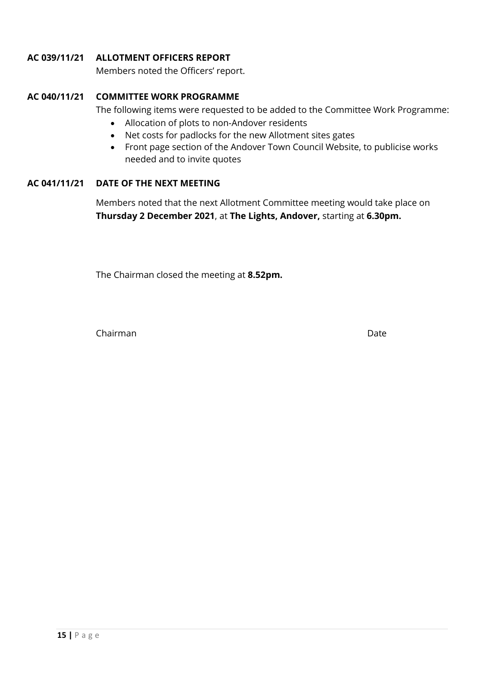#### **AC 039/11/21 ALLOTMENT OFFICERS REPORT**

Members noted the Officers' report.

#### **AC 040/11/21 COMMITTEE WORK PROGRAMME**

The following items were requested to be added to the Committee Work Programme:

- Allocation of plots to non-Andover residents
- Net costs for padlocks for the new Allotment sites gates
- Front page section of the Andover Town Council Website, to publicise works needed and to invite quotes

#### **AC 041/11/21 DATE OF THE NEXT MEETING**

Members noted that the next Allotment Committee meeting would take place on **Thursday 2 December 2021**, at **The Lights, Andover,** starting at **6.30pm.**

The Chairman closed the meeting at **8.52pm.**

Chairman Date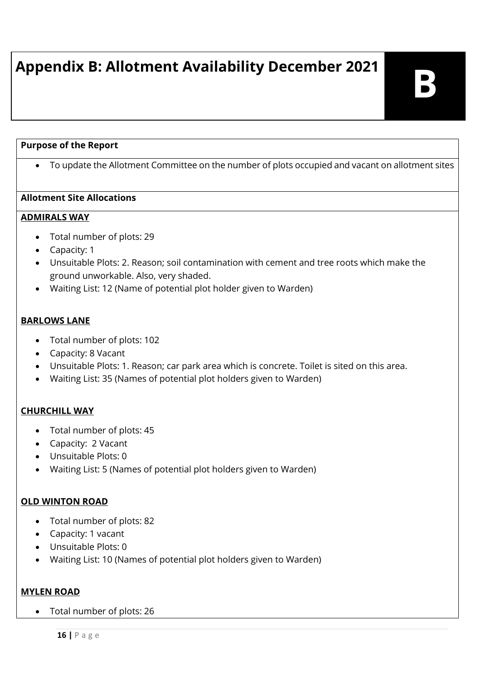## **Appendix B: Allotment Availability December 2021**

#### **Purpose of the Report**

To update the Allotment Committee on the number of plots occupied and vacant on allotment sites

#### **Allotment Site Allocations**

#### **ADMIRALS WAY**

- Total number of plots: 29
- Capacity: 1
- Unsuitable Plots: 2. Reason; soil contamination with cement and tree roots which make the ground unworkable. Also, very shaded.
- Waiting List: 12 (Name of potential plot holder given to Warden)

#### **BARLOWS LANE**

- Total number of plots: 102
- Capacity: 8 Vacant
- Unsuitable Plots: 1. Reason; car park area which is concrete. Toilet is sited on this area.
- Waiting List: 35 (Names of potential plot holders given to Warden)

#### **CHURCHILL WAY**

- Total number of plots: 45
- Capacity: 2 Vacant
- Unsuitable Plots: 0
- Waiting List: 5 (Names of potential plot holders given to Warden)

#### **OLD WINTON ROAD**

- Total number of plots: 82
- Capacity: 1 vacant
- Unsuitable Plots: 0
- Waiting List: 10 (Names of potential plot holders given to Warden)

#### **MYLEN ROAD**

Total number of plots: 26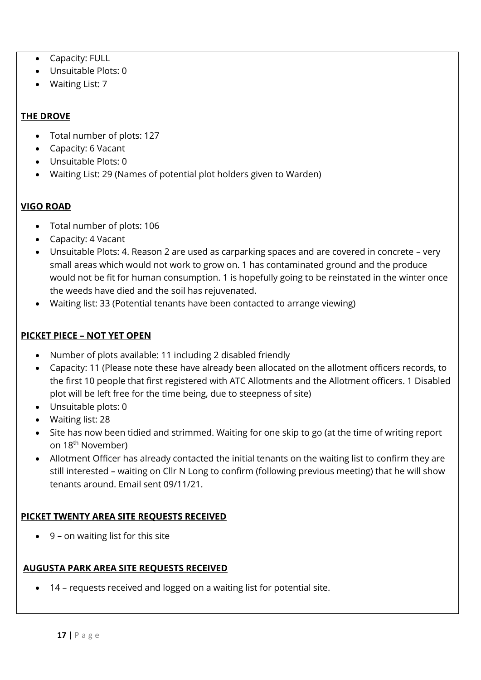- Capacity: FULL
- Unsuitable Plots: 0
- Waiting List: 7

#### **THE DROVE**

- Total number of plots: 127
- Capacity: 6 Vacant
- Unsuitable Plots: 0
- Waiting List: 29 (Names of potential plot holders given to Warden)

#### **VIGO ROAD**

- Total number of plots: 106
- Capacity: 4 Vacant
- Unsuitable Plots: 4. Reason 2 are used as carparking spaces and are covered in concrete very small areas which would not work to grow on. 1 has contaminated ground and the produce would not be fit for human consumption. 1 is hopefully going to be reinstated in the winter once the weeds have died and the soil has rejuvenated.
- Waiting list: 33 (Potential tenants have been contacted to arrange viewing)

#### **PICKET PIECE – NOT YET OPEN**

- Number of plots available: 11 including 2 disabled friendly
- Capacity: 11 (Please note these have already been allocated on the allotment officers records, to the first 10 people that first registered with ATC Allotments and the Allotment officers. 1 Disabled plot will be left free for the time being, due to steepness of site)
- Unsuitable plots: 0
- Waiting list: 28
- Site has now been tidied and strimmed. Waiting for one skip to go (at the time of writing report on 18<sup>th</sup> November)
- Allotment Officer has already contacted the initial tenants on the waiting list to confirm they are still interested – waiting on Cllr N Long to confirm (following previous meeting) that he will show tenants around. Email sent 09/11/21.

#### **PICKET TWENTY AREA SITE REQUESTS RECEIVED**

 $\bullet$  9 – on waiting list for this site

#### **AUGUSTA PARK AREA SITE REQUESTS RECEIVED**

14 – requests received and logged on a waiting list for potential site.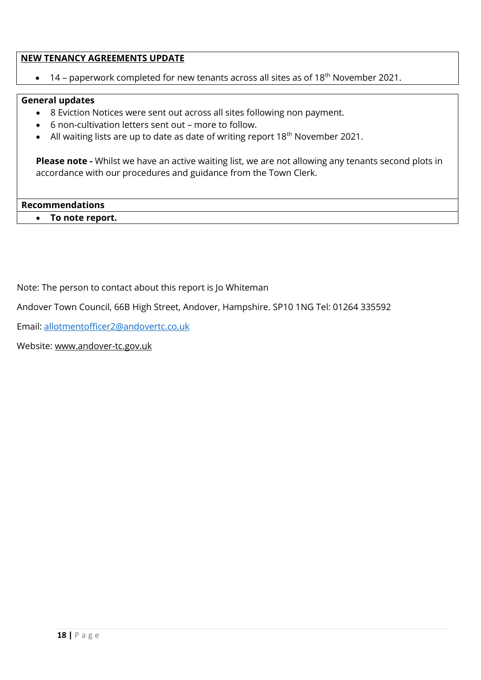#### **NEW TENANCY AGREEMENTS UPDATE**

 $\bullet$  14 – paperwork completed for new tenants across all sites as of 18<sup>th</sup> November 2021.

#### **General updates**

- 8 Eviction Notices were sent out across all sites following non payment.
- 6 non-cultivation letters sent out more to follow.
- All waiting lists are up to date as date of writing report  $18<sup>th</sup>$  November 2021.

**Please note -** Whilst we have an active waiting list, we are not allowing any tenants second plots in accordance with our procedures and guidance from the Town Clerk.

**Recommendations To note report.**

Note: The person to contact about this report is Jo Whiteman

Andover Town Council, 66B High Street, Andover, Hampshire. SP10 1NG Tel: 01264 335592

Email: allotmentofficer2@andovertc.co.uk

Website: www.andover-tc.gov.uk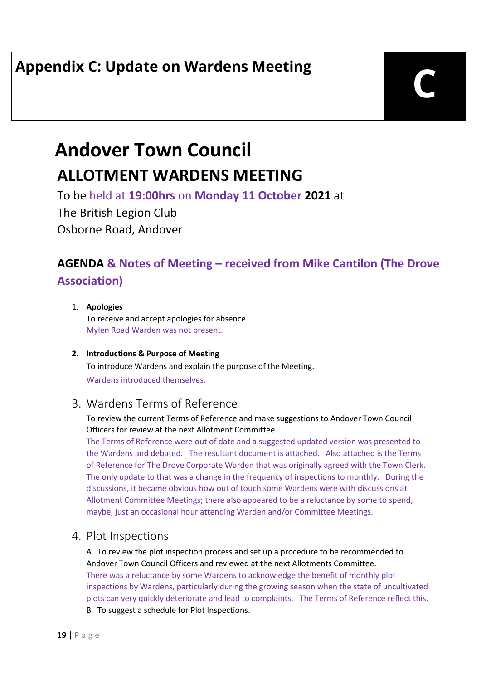## **Andover Town Council ALLOTMENT WARDENS MEETING**

To be held at **19:00hrs** on **Monday 11 October 2021** at

The British Legion Club Osborne Road, Andover

#### **AGENDA & Notes of Meeting – received from Mike Cantilon (The Drove Association)**

#### 1. **Apologies**

To receive and accept apologies for absence. Mylen Road Warden was not present.

#### **2. Introductions & Purpose of Meeting**

To introduce Wardens and explain the purpose of the Meeting. Wardens introduced themselves.

#### 3. Wardens Terms of Reference

#### To review the current Terms of Reference and make suggestions to Andover Town Council Officers for review at the next Allotment Committee.

The Terms of Reference were out of date and a suggested updated version was presented to the Wardens and debated. The resultant document is attached. Also attached is the Terms of Reference for The Drove Corporate Warden that was originally agreed with the Town Clerk. The only update to that was a change in the frequency of inspections to monthly. During the discussions, it became obvious how out of touch some Wardens were with discussions at Allotment Committee Meetings; there also appeared to be a reluctance by some to spend, maybe, just an occasional hour attending Warden and/or Committee Meetings.

#### 4. Plot Inspections

A To review the plot inspection process and set up a procedure to be recommended to Andover Town Council Officers and reviewed at the next Allotments Committee. There was a reluctance by some Wardens to acknowledge the benefit of monthly plot inspections by Wardens, particularly during the growing season when the state of uncultivated plots can very quickly deteriorate and lead to complaints. The Terms of Reference reflect this.

B To suggest a schedule for Plot Inspections.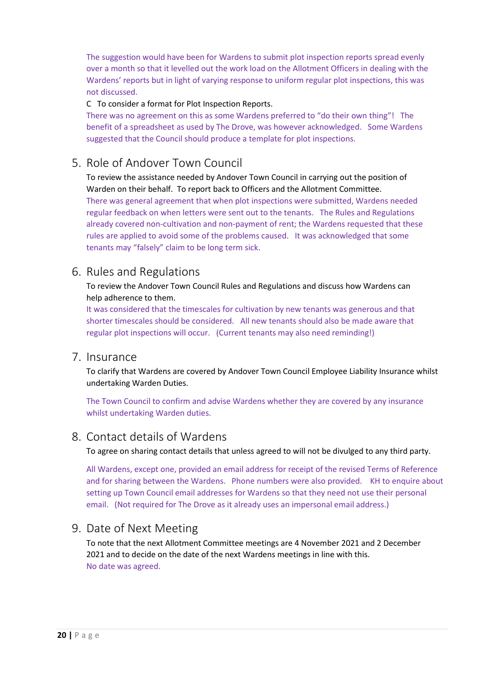The suggestion would have been for Wardens to submit plot inspection reports spread evenly over a month so that it levelled out the work load on the Allotment Officers in dealing with the Wardens' reports but in light of varying response to uniform regular plot inspections, this was not discussed.

#### C To consider a format for Plot Inspection Reports.

There was no agreement on this as some Wardens preferred to "do their own thing"! The benefit of a spreadsheet as used by The Drove, was however acknowledged. Some Wardens suggested that the Council should produce a template for plot inspections.

#### 5. Role of Andover Town Council

To review the assistance needed by Andover Town Council in carrying out the position of Warden on their behalf. To report back to Officers and the Allotment Committee. There was general agreement that when plot inspections were submitted, Wardens needed regular feedback on when letters were sent out to the tenants. The Rules and Regulations already covered non-cultivation and non-payment of rent; the Wardens requested that these rules are applied to avoid some of the problems caused. It was acknowledged that some tenants may "falsely" claim to be long term sick.

#### 6. Rules and Regulations

To review the Andover Town Council Rules and Regulations and discuss how Wardens can help adherence to them.

It was considered that the timescales for cultivation by new tenants was generous and that shorter timescales should be considered. All new tenants should also be made aware that regular plot inspections will occur. (Current tenants may also need reminding!)

#### 7. Insurance

To clarify that Wardens are covered by Andover Town Council Employee Liability Insurance whilst undertaking Warden Duties.

The Town Council to confirm and advise Wardens whether they are covered by any insurance whilst undertaking Warden duties.

#### 8. Contact details of Wardens

To agree on sharing contact details that unless agreed to will not be divulged to any third party.

All Wardens, except one, provided an email address for receipt of the revised Terms of Reference and for sharing between the Wardens. Phone numbers were also provided. KH to enquire about setting up Town Council email addresses for Wardens so that they need not use their personal email. (Not required for The Drove as it already uses an impersonal email address.)

#### 9. Date of Next Meeting

To note that the next Allotment Committee meetings are 4 November 2021 and 2 December 2021 and to decide on the date of the next Wardens meetings in line with this. No date was agreed.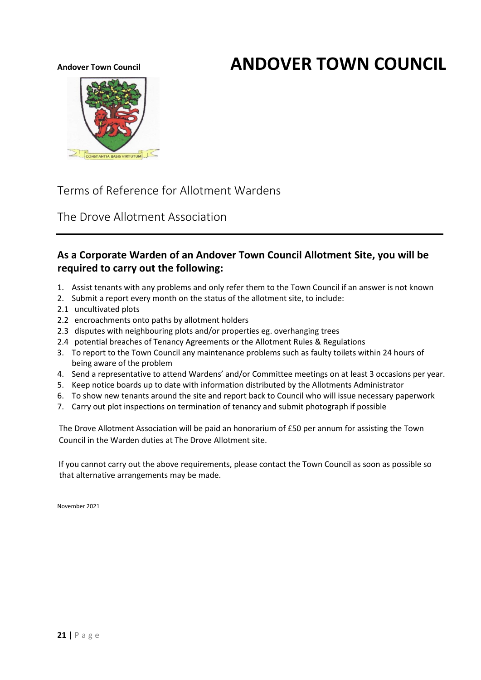## Andover Town Council **ANDOVER TOWN COUNCIL**



Terms of Reference for Allotment Wardens

The Drove Allotment Association

#### **As a Corporate Warden of an Andover Town Council Allotment Site, you will be required to carry out the following:**

- 1. Assist tenants with any problems and only refer them to the Town Council if an answer is not known
- 2. Submit a report every month on the status of the allotment site, to include:
- 2.1 uncultivated plots
- 2.2 encroachments onto paths by allotment holders
- 2.3 disputes with neighbouring plots and/or properties eg. overhanging trees
- 2.4 potential breaches of Tenancy Agreements or the Allotment Rules & Regulations
- 3. To report to the Town Council any maintenance problems such as faulty toilets within 24 hours of being aware of the problem
- 4. Send a representative to attend Wardens' and/or Committee meetings on at least 3 occasions per year.
- 5. Keep notice boards up to date with information distributed by the Allotments Administrator
- 6. To show new tenants around the site and report back to Council who will issue necessary paperwork
- 7. Carry out plot inspections on termination of tenancy and submit photograph if possible

The Drove Allotment Association will be paid an honorarium of £50 per annum for assisting the Town Council in the Warden duties at The Drove Allotment site.

If you cannot carry out the above requirements, please contact the Town Council as soon as possible so that alternative arrangements may be made.

November 2021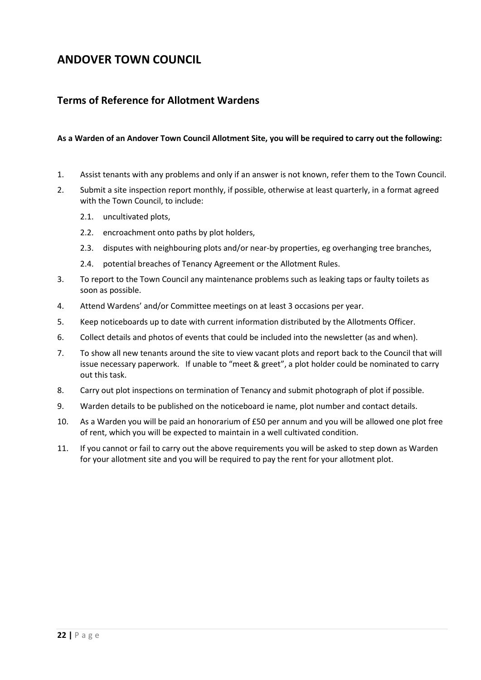#### **ANDOVER TOWN COUNCIL**

#### **Terms of Reference for Allotment Wardens**

#### **As a Warden of an Andover Town Council Allotment Site, you will be required to carry out the following:**

- 1. Assist tenants with any problems and only if an answer is not known, refer them to the Town Council.
- 2. Submit a site inspection report monthly, if possible, otherwise at least quarterly, in a format agreed with the Town Council, to include:
	- 2.1. uncultivated plots,
	- 2.2. encroachment onto paths by plot holders,
	- 2.3. disputes with neighbouring plots and/or near-by properties, eg overhanging tree branches,
	- 2.4. potential breaches of Tenancy Agreement or the Allotment Rules.
- 3. To report to the Town Council any maintenance problems such as leaking taps or faulty toilets as soon as possible.
- 4. Attend Wardens' and/or Committee meetings on at least 3 occasions per year.
- 5. Keep noticeboards up to date with current information distributed by the Allotments Officer.
- 6. Collect details and photos of events that could be included into the newsletter (as and when).
- 7. To show all new tenants around the site to view vacant plots and report back to the Council that will issue necessary paperwork. If unable to "meet & greet", a plot holder could be nominated to carry out this task.
- 8. Carry out plot inspections on termination of Tenancy and submit photograph of plot if possible.
- 9. Warden details to be published on the noticeboard ie name, plot number and contact details.
- 10. As a Warden you will be paid an honorarium of £50 per annum and you will be allowed one plot free of rent, which you will be expected to maintain in a well cultivated condition.
- 11. If you cannot or fail to carry out the above requirements you will be asked to step down as Warden for your allotment site and you will be required to pay the rent for your allotment plot.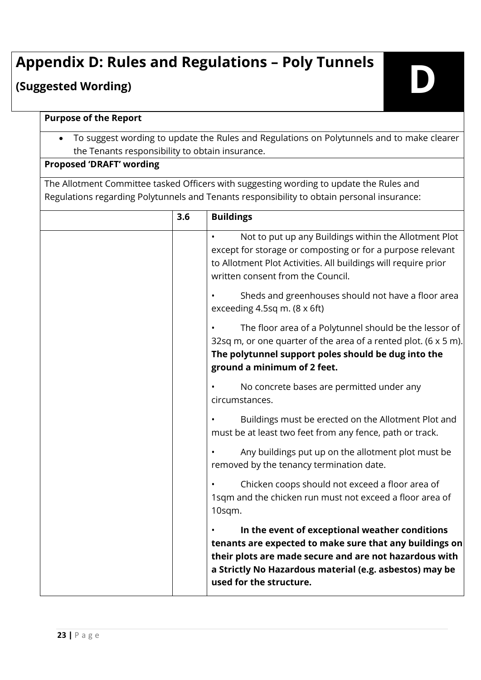# **Appendix D: Rules and Regulations – Poly Tunnels (Suggested Wording) D**

#### **Purpose of the Report**

 To suggest wording to update the Rules and Regulations on Polytunnels and to make clearer the Tenants responsibility to obtain insurance.

#### **Proposed 'DRAFT' wording**

The Allotment Committee tasked Officers with suggesting wording to update the Rules and Regulations regarding Polytunnels and Tenants responsibility to obtain personal insurance:

| 3.6 | <b>Buildings</b>                                                                                                                                                                                                                                          |
|-----|-----------------------------------------------------------------------------------------------------------------------------------------------------------------------------------------------------------------------------------------------------------|
|     | Not to put up any Buildings within the Allotment Plot<br>except for storage or composting or for a purpose relevant<br>to Allotment Plot Activities. All buildings will require prior<br>written consent from the Council.                                |
|     | Sheds and greenhouses should not have a floor area<br>exceeding 4.5sq m. $(8 \times 6ft)$                                                                                                                                                                 |
|     | The floor area of a Polytunnel should be the lessor of<br>32sq m, or one quarter of the area of a rented plot. (6 x 5 m).<br>The polytunnel support poles should be dug into the<br>ground a minimum of 2 feet.                                           |
|     | No concrete bases are permitted under any<br>circumstances.                                                                                                                                                                                               |
|     | Buildings must be erected on the Allotment Plot and<br>must be at least two feet from any fence, path or track.                                                                                                                                           |
|     | Any buildings put up on the allotment plot must be<br>removed by the tenancy termination date.                                                                                                                                                            |
|     | Chicken coops should not exceed a floor area of<br>1sqm and the chicken run must not exceed a floor area of<br>10sqm.                                                                                                                                     |
|     | In the event of exceptional weather conditions<br>tenants are expected to make sure that any buildings on<br>their plots are made secure and are not hazardous with<br>a Strictly No Hazardous material (e.g. asbestos) may be<br>used for the structure. |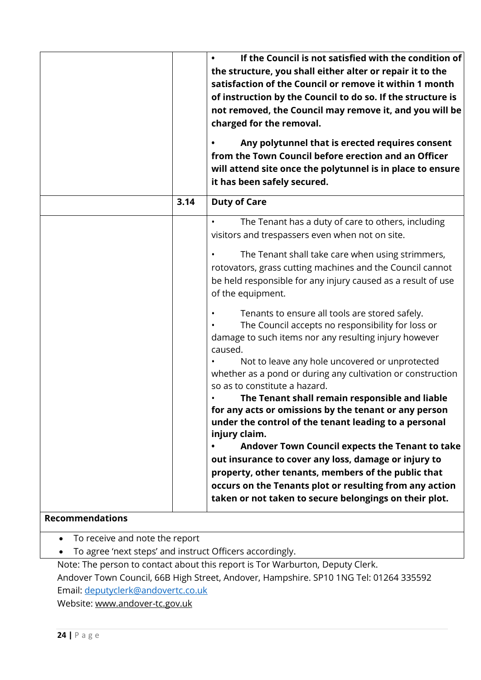|                        |      | If the Council is not satisfied with the condition of<br>the structure, you shall either alter or repair it to the<br>satisfaction of the Council or remove it within 1 month<br>of instruction by the Council to do so. If the structure is<br>not removed, the Council may remove it, and you will be<br>charged for the removal.<br>Any polytunnel that is erected requires consent<br>from the Town Council before erection and an Officer<br>will attend site once the polytunnel is in place to ensure<br>it has been safely secured. |
|------------------------|------|---------------------------------------------------------------------------------------------------------------------------------------------------------------------------------------------------------------------------------------------------------------------------------------------------------------------------------------------------------------------------------------------------------------------------------------------------------------------------------------------------------------------------------------------|
|                        | 3.14 | <b>Duty of Care</b>                                                                                                                                                                                                                                                                                                                                                                                                                                                                                                                         |
|                        |      | The Tenant has a duty of care to others, including<br>visitors and trespassers even when not on site.                                                                                                                                                                                                                                                                                                                                                                                                                                       |
|                        |      | The Tenant shall take care when using strimmers,<br>rotovators, grass cutting machines and the Council cannot<br>be held responsible for any injury caused as a result of use<br>of the equipment.                                                                                                                                                                                                                                                                                                                                          |
|                        |      | Tenants to ensure all tools are stored safely.<br>The Council accepts no responsibility for loss or<br>damage to such items nor any resulting injury however<br>caused.                                                                                                                                                                                                                                                                                                                                                                     |
|                        |      | Not to leave any hole uncovered or unprotected<br>whether as a pond or during any cultivation or construction<br>so as to constitute a hazard.                                                                                                                                                                                                                                                                                                                                                                                              |
|                        |      | The Tenant shall remain responsible and liable<br>for any acts or omissions by the tenant or any person<br>under the control of the tenant leading to a personal<br>injury claim.                                                                                                                                                                                                                                                                                                                                                           |
|                        |      | Andover Town Council expects the Tenant to take<br>out insurance to cover any loss, damage or injury to                                                                                                                                                                                                                                                                                                                                                                                                                                     |
|                        |      | property, other tenants, members of the public that                                                                                                                                                                                                                                                                                                                                                                                                                                                                                         |
|                        |      | occurs on the Tenants plot or resulting from any action<br>taken or not taken to secure belongings on their plot.                                                                                                                                                                                                                                                                                                                                                                                                                           |
| <b>Decemmendations</b> |      |                                                                                                                                                                                                                                                                                                                                                                                                                                                                                                                                             |

#### **Recommendations**

- To receive and note the report
- To agree 'next steps' and instruct Officers accordingly.

Note: The person to contact about this report is Tor Warburton, Deputy Clerk. Andover Town Council, 66B High Street, Andover, Hampshire. SP10 1NG Tel: 01264 335592 Email: deputyclerk@andovertc.co.uk

Website: www.andover-tc.gov.uk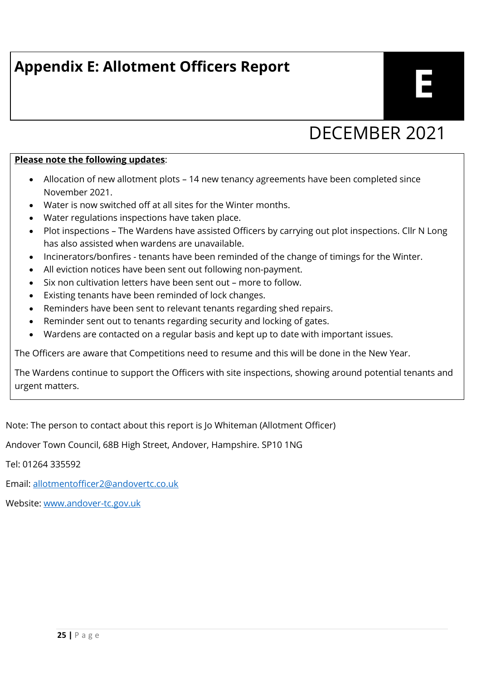## **Appendix E: Allotment Officers Report**

## DECEMBER 2021

#### **Please note the following updates**:

- Allocation of new allotment plots 14 new tenancy agreements have been completed since November 2021.
- Water is now switched off at all sites for the Winter months.
- Water regulations inspections have taken place.
- Plot inspections The Wardens have assisted Officers by carrying out plot inspections. Cllr N Long has also assisted when wardens are unavailable.
- Incinerators/bonfires tenants have been reminded of the change of timings for the Winter.
- All eviction notices have been sent out following non-payment.
- Six non cultivation letters have been sent out more to follow.
- Existing tenants have been reminded of lock changes.
- Reminders have been sent to relevant tenants regarding shed repairs.
- Reminder sent out to tenants regarding security and locking of gates.
- Wardens are contacted on a regular basis and kept up to date with important issues.

The Officers are aware that Competitions need to resume and this will be done in the New Year.

The Wardens continue to support the Officers with site inspections, showing around potential tenants and urgent matters.

Note: The person to contact about this report is Jo Whiteman (Allotment Officer)

Andover Town Council, 68B High Street, Andover, Hampshire. SP10 1NG

Tel: 01264 335592

Email: [allotmentofficer2@andovertc.co.uk](mailto:allotmentofficer2@andovertc.co.uk)

Website: [www.andover-tc.gov.uk](http://www.andover-tc.gov.uk/)